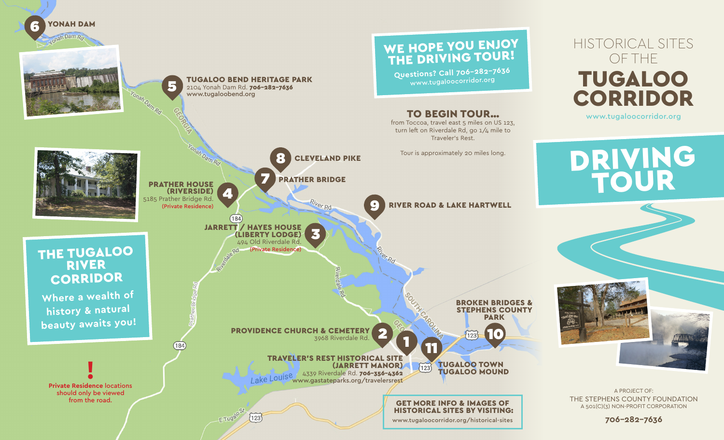